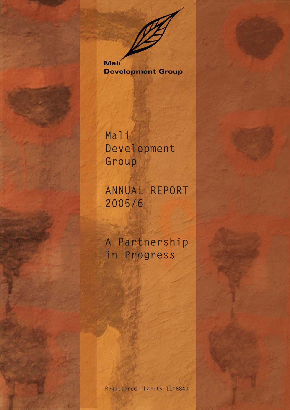Mali **Development Group** 

Mali Development Group

ANNUAL REPORT 2005/6

A Partnership in Progress

Registered Charity 1108840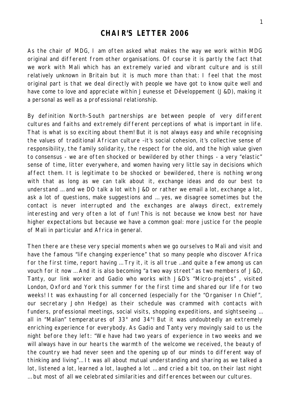## **CHAIR'S LETTER 2006**

As the chair of MDG, I am often asked what makes the way we work within MDG original and different from other organisations. Of course it is partly the fact that we work with Mali which has an extremely varied and vibrant culture and is still relatively unknown in Britain but it is much more than that: I feel that the most original part is that we deal directly with people we have got to know quite well and have come to love and appreciate within Jeunesse et Développement (J&D), making it a personal as well as a professional relationship.

By definition North-South partnerships are between people of very different cultures and faiths and extremely different perceptions of what is important in life. That is what is so exciting about them! But it is not always easy and while recognising the values of traditional African culture –it's social cohesion, it's collective sense of responsibility, the family solidarity, the respect for the old, and the high value given to consensus - we are often shocked or bewildered by other things - a very "elastic" sense of time, litter everywhere, and women having very little say in decisions which affect them. It is legitimate to be shocked or bewildered, there is nothing wrong with that as long as we can talk about it, exchange ideas and do our best to understand … and we DO talk a lot with J&D or rather we email a lot, exchange a lot, ask a lot of questions, make suggestions and … yes, we disagree sometimes but the contact is never interrupted and the exchanges are always direct, extremely interesting and very often a lot of fun! This is not because we know best nor have higher expectations but because we have a common goal: more justice for the people of Mali in particular and Africa in general.

Then there are these very special moments when we go ourselves to Mali and visit and have the famous "life changing experience" that so many people who discover Africa for the first time, report having … Try it, it is all true …and quite a few among us can vouch for it now … And it is also becoming "a two way street" as two members of J&D, Tanty, our link worker and Gadio who works with J&D's "Micro-projets" , visited London, Oxford and York this summer for the first time and shared our life for two weeks! It was exhausting for all concerned (especially for the "Organiser In Chief", our secretary John Hedge) as their schedule was crammed with contacts with funders, professional meetings, social visits, shopping expeditions, and sightseeing … all in "Malian" temperatures of 33° and 34°! But it was undoubtedly an extremely enriching experience for everybody. As Gadio and Tanty very movingly said to us the night before they left: "We have had two years of experience in two weeks and we will always have in our hearts the warmth of the welcome we received, the beauty of the country we had never seen and the opening up of our minds to different way of thinking and living"… It was all about mutual understanding and sharing as we talked a lot, listened a lot, learned a lot, laughed a lot … and cried a bit too, on their last night … but most of all we celebrated similarities and differences between our cultures.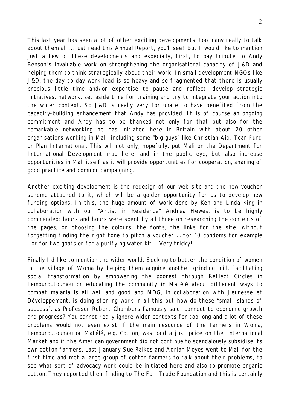This last year has seen a lot of other exciting developments, too many really to talk about them all … just read this Annual Report, you'll see! But I would like to mention just a few of these developments and especially, first, to pay tribute to Andy Benson's invaluable work on strengthening the organisational capacity of J&D and helping them to think strategically about their work. In small development NGOs like J&D, the day-to-day work-load is so heavy and so fragmented that there is usually precious little time and/or expertise to pause and reflect, develop strategic initiatives, network, set aside time for training and try to integrate your action into the wider context. So J&D is really very fortunate to have benefited from the capacity-building enhancement that Andy has provided. It is of course an ongoing commitment and Andy has to be thanked not only for that but also for the remarkable networking he has initiated here in Britain with about 20 other organisations working in Mali, including some "big guys" like Christian Aid, Tear Fund or Plan International. This will not only, hopefully, put Mali on the Department for International Development map here, and in the public eye, but also increase opportunities in Mali itself as it will provide opportunities for cooperation, sharing of good practice and common campaigning.

Another exciting development is the redesign of our web site and the new voucher scheme attached to it, which will be a golden opportunity for us to develop new funding options. In this, the huge amount of work done by Ken and Linda King in collaboration with our "Artist in Residence" Andrea Hewes, is to be highly commended: hours and hours were spent by all three on researching the contents of the pages, on choosing the colours, the fonts, the links for the site, without forgetting finding the right tone to pitch a voucher … for 10 condoms for example …or for two goats or for a purifying water kit…. Very tricky!

Finally I'd like to mention the wider world. Seeking to better the condition of women in the village of Woma by helping them acquire another grinding mill, facilitating social transformation by empowering the poorest through Reflect Circles in Lemouroutoumou or educating the community in Mafélé about different ways to combat malaria is all well and good and MDG, in collaboration with Jeunesse et Développement, is doing sterling work in all this but how do these "small islands of success", as Professor Robert Chambers famously said, connect to economic growth and progress? You cannot really ignore wider contexts for too long and a lot of these problems would not even exist if the main resource of the farmers in Woma, Lemouroutoumou or Mafélé, e.g. Cotton, was paid a just price on the International Market and if the American government did not continue to scandalously subsidise its own cotton farmers. Last January Sue Raikes and Adrian Moyes went to Mali for the first time and met a large group of cotton farmers to talk about their problems, to see what sort of advocacy work could be initiated here and also to promote organic cotton. They reported their finding to The Fair Trade Foundation and this is certainly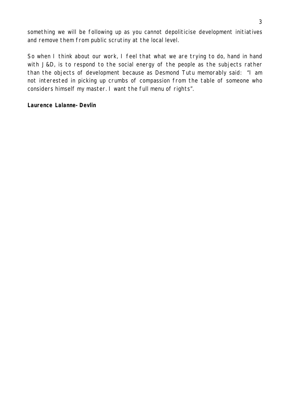something we will be following up as you cannot depoliticise development initiatives and remove them from public scrutiny at the local level.

So when I think about our work, I feel that what we are trying to do, hand in hand with J&D, is to respond to the social energy of the people as the subjects rather than the objects of development because as Desmond Tutu memorably said: "I am not interested in picking up crumbs of compassion from the table of someone who considers himself my master. I want the full menu of rights".

#### **Laurence Lalanne-Devlin**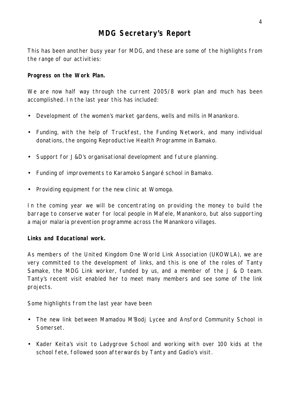# **MDG Secretary's Report**

This has been another busy year for MDG, and these are some of the highlights from the range of our activities:

### **Progress on the Work Plan.**

We are now half way through the current 2005/8 work plan and much has been accomplished. In the last year this has included:

- Development of the women's market gardens, wells and mills in Manankoro.
- Funding, with the help of Truckfest, the Funding Network, and many individual donations, the ongoing Reproductive Health Programme in Bamako.
- Support for J&D's organisational development and future planning.
- Funding of improvements to Karamoko Sangaré school in Bamako.
- Providing equipment for the new clinic at Womoga.

In the coming year we will be concentrating on providing the money to build the barrage to conserve water for local people in Mafele, Manankoro, but also supporting a major malaria prevention programme across the Manankoro villages.

#### **Links and Educational work.**

As members of the United Kingdom One World Link Association (UKOWLA), we are very committed to the development of links, and this is one of the roles of Tanty Samake, the MDG Link worker, funded by us, and a member of the J & D team. Tanty's recent visit enabled her to meet many members and see some of the link projects.

Some highlights from the last year have been

- The new link between Mamadou M'Bodj Lycee and Ansford Community School in Somerset.
- Kader Keita's visit to Ladygrove School and working with over 100 kids at the school fete, followed soon afterwards by Tanty and Gadio's visit.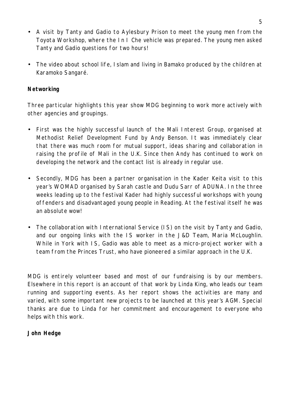- A visit by Tanty and Gadio to Aylesbury Prison to meet the young men from the Toyota Workshop, where the In I Che vehicle was prepared. The young men asked Tanty and Gadio questions for two hours!
- The video about school life, I slam and living in Bamako produced by the children at Karamoko Sangaré.

## **Networking**

Three particular highlights this year show MDG beginning to work more actively with other agencies and groupings.

- First was the highly successful launch of the Mali Interest Group, organised at Methodist Relief Development Fund by Andy Benson. It was immediately clear that there was much room for mutual support, ideas sharing and collaboration in raising the profile of Mali in the U.K. Since then Andy has continued to work on developing the network and the contact list is already in regular use.
- Secondly, MDG has been a partner organisation in the Kader Keita visit to this year's WOMAD organised by Sarah castle and Dudu Sarr of ADUNA. In the three weeks leading up to the festival Kader had highly successful workshops with young offenders and disadvantaged young people in Reading. At the festival itself he was an absolute wow!
- The collaboration with International Service (IS) on the visit by Tanty and Gadio, and our ongoing links with the IS worker in the J&D Team, Maria McLoughlin. While in York with IS, Gadio was able to meet as a micro-project worker with a team from the Princes Trust, who have pioneered a similar approach in the U.K.

MDG is entirely volunteer based and most of our fundraising is by our members. Elsewhere in this report is an account of that work by Linda King, who leads our team running and supporting events. As her report shows the activities are many and varied, with some important new projects to be launched at this year's AGM. Special thanks are due to Linda for her commitment and encouragement to everyone who helps with this work.

## **John Hedge**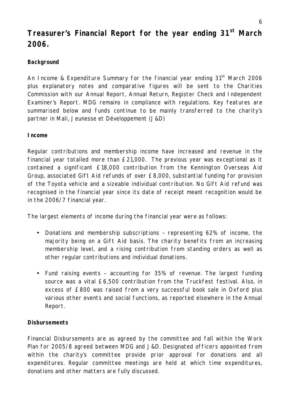# **Treasurer's Financial Report for the year ending 31st March 2006.**

## **Background**

An Income & Expenditure Summary for the financial year ending  $31<sup>st</sup>$  March 2006 plus explanatory notes and comparative figures will be sent to the Charities Commission with our Annual Report, Annual Return, Register Check and Independent Examiner's Report. MDG remains in compliance with regulations. Key features are summarised below and funds continue to be mainly transferred to the charity's partner in Mali, Jeunesse et Développement (J&D)

### **Income**

Regular contributions and membership income have increased and revenue in the financial year totalled more than £21,000. The previous year was exceptional as it contained a significant £18,000 contribution from the Kennington Overseas Aid Group, associated Gift Aid refunds of over £8,000, substantial funding for provision of the Toyota vehicle and a sizeable individual contribution. No Gift Aid refund was recognised in the financial year since its date of receipt meant recognition would be in the 2006/7 financial year.

The largest elements of income during the financial year were as follows:

- Donations and membership subscriptions representing 62% of income, the majority being on a Gift Aid basis. The charity benefits from an increasing membership level, and a rising contribution from standing orders as well as other regular contributions and individual donations.
- Fund raising events accounting for 35% of revenue. The largest funding source was a vital £6,500 contribution from the Truckfest festival. Also, in excess of £800 was raised from a very successful book sale in Oxford plus various other events and social functions, as reported elsewhere in the Annual Report.

## **Disbursements**

Financial Disbursements are as agreed by the committee and fall within the Work Plan for 2005/8 agreed between MDG and J&D. Designated officers appointed from within the charity's committee provide prior approval for donations and all expenditures. Regular committee meetings are held at which time expenditures, donations and other matters are fully discussed.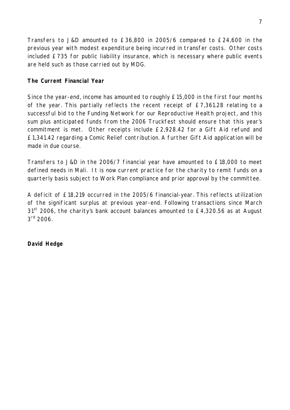Transfers to J&D amounted to £36,800 in 2005/6 compared to £24,600 in the previous year with modest expenditure being incurred in transfer costs. Other costs included £735 for public liability insurance, which is necessary where public events are held such as those carried out by MDG.

## **The Current Financial Year**

Since the year-end, income has amounted to roughly £15,000 in the first four months of the year. This partially reflects the recent receipt of £7,361.28 relating to a successful bid to the Funding Network for our Reproductive Health project, and this sum plus anticipated funds from the 2006 Truckfest should ensure that this year's commitment is met. Other receipts include £2,928.42 for a Gift Aid refund and £1,341.42 regarding a Comic Relief contribution. A further Gift Aid application will be made in due course.

Transfers to J&D in the 2006/7 financial year have amounted to £18,000 to meet defined needs in Mali. It is now current practice for the charity to remit funds on a quarterly basis subject to Work Plan compliance and prior approval by the committee.

A deficit of £18,219 occurred in the 2005/6 financial-year. This reflects utilization of the significant surplus at previous year-end. Following transactions since March 31<sup>st</sup> 2006, the charity's bank account balances amounted to  $E4,320.56$  as at August  $3^{\text{rd}}$  2006.

## **David Hedge**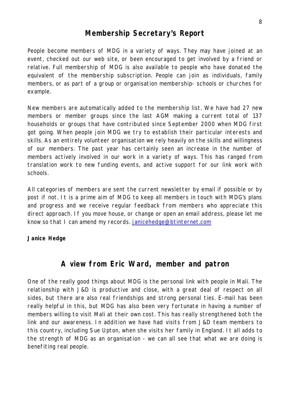# **Membership Secretary's Report**

People become members of MDG in a variety of ways. They may have joined at an event, checked out our web site, or been encouraged to get involved by a friend or relative. Full membership of MDG is also available to people who have donated the equivalent of the membership subscription. People can join as individuals, family members, or as part of a group or organisation membership- schools or churches for example.

New members are automatically added to the membership list. We have had 27 new members or member groups since the last AGM making a current total of 137 households or groups that have contributed since September 2000 when MDG first got going. When people join MDG we try to establish their particular interests and skills. As an entirely volunteer organisation we rely heavily on the skills and willingness of our members. The past year has certainly seen an increase in the number of members actively involved in our work in a variety of ways. This has ranged from translation work to new funding events, and active support for our link work with schools.

All categories of members are sent the current newsletter by email if possible or by post if not. It is a prime aim of MDG to keep all members in touch with MDG's plans and progress and we receive regular feedback from members who appreciate this direct approach. If you move house, or change or open an email address, please let me know so that I can amend my records. janicehedge@btinternet.com

#### **Janice Hedge**

# **A view from Eric Ward, member and patron**

One of the really good things about MDG is the personal link with people in Mali. The relationship with J&D is productive and close, with a great deal of respect on all sides, but there are also real friendships and strong personal ties. E-mail has been really helpful in this, but MDG has also been very fortunate in having a number of members willing to visit Mali at their own cost. This has really strengthened both the link and our awareness. In addition we have had visits from J&D team members to this country, including Sue Upton, when she visits her family in England. It all adds to the strength of MDG as an organisation - we can all see that what we are doing is benefiting real people.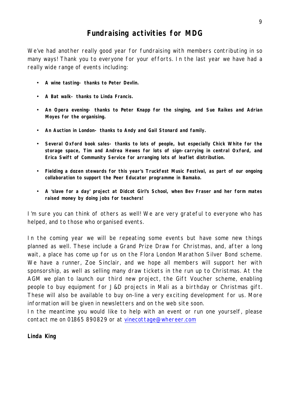# **Fundraising activities for MDG**

We've had another really good year for fundraising with members contributing in so many ways! Thank you to everyone for your efforts. In the last year we have had a really wide range of events including:

- *A wine tasting- thanks to Peter Devlin.*
- *A Bat walk- thanks to Linda Francis.*
- *An Opera evening- thanks to Peter Knapp for the singing, and Sue Raikes and Adrian Moyes for the organising.*
- *An Auction in London- thanks to Andy and Gail Stonard and family.*
- *Several Oxford book sales- thanks to lots of people, but especially Chick White for the storage space, Tim and Andrea Hewes for lots of sign-carrying in central Oxford, and Erica Swift of Community Service for arranging lots of leaflet distribution.*
- *Fielding a dozen stewards for this year's Truckfest Music Festival, as part of our ongoing collaboration to support the Peer Educator programme in Bamako.*
- *A 'slave for a day' project at Didcot Girl's School, when Bev Fraser and her form mates raised money by doing jobs for teachers!*

I'm sure you can think of others as well! We are very grateful to everyone who has helped, and to those who organised events.

In the coming year we will be repeating some events but have some new things planned as well. These include a Grand Prize Draw for Christmas, and, after a long wait, a place has come up for us on the Flora London Marathon Silver Bond scheme. We have a runner, Zoe Sinclair, and we hope all members will support her with sponsorship, as well as selling many draw tickets in the run up to Christmas. At the AGM we plan to launch our third new project, the Gift Voucher scheme, enabling people to buy equipment for J&D projects in Mali as a birthday or Christmas gift. These will also be available to buy on-line a very exciting development for us. More information will be given in newsletters and on the web site soon.

In the meantime you would like to help with an event or run one yourself, please contact me on 01865 890829 or at vinecottage@whereer.com

#### **Linda King**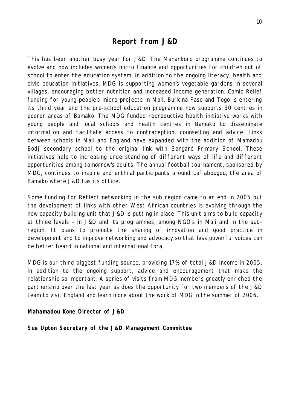## **Report from J&D**

This has been another busy year for J&D. The Manankoro programme continues to evolve and now includes women's micro finance and opportunities for children out of school to enter the education system, in addition to the ongoing literacy, health and civic education initiatives. MDG is supporting women's vegetable gardens in several villages, encouraging better nutrition and increased income generation. Comic Relief funding for young people's micro projects in Mali, Burkina Faso and Togo is entering its third year and the pre-school education programme now supports 30 centres in poorer areas of Bamako. The MDG funded reproductive health initiative works with young people and local schools and health centres in Bamako to disseminate information and facilitate access to contraception, counselling and advice. Links between schools in Mali and England have expanded with the addition of Mamadou Bodj secondary school to the original link with Sangaré Primary School. These initiatives help to increasing understanding of different ways of life and different opportunities among tomorrow's adults. The annual football tournament, sponsored by MDG, continues to inspire and enthral participants around Lafiabougou, the area of Bamako where J&D has its office.

Some funding for Reflect networking in the sub region came to an end in 2005 but the development of links with other West African countries is evolving through the new capacity building unit that J&D is putting in place. This unit aims to build capacity at three levels – in J&D and its programmes, among NGO's in Mali and in the subregion. It plans to promote the sharing of innovation and good practice in development and to improve networking and advocacy so that less powerful voices can be better heard in national and international fora.

MDG is our third biggest funding source, providing 17% of total J&D income in 2005, in addition to the ongoing support, advice and encouragement that make the relationship so important. A series of visits from MDG members greatly enriched the partnership over the last year as does the opportunity for two members of the J&D team to visit England and learn more about the work of MDG in the summer of 2006.

#### **Mahamadou Kone Director of J&D**

**Sue Upton Secretary of the J&D Management Committee**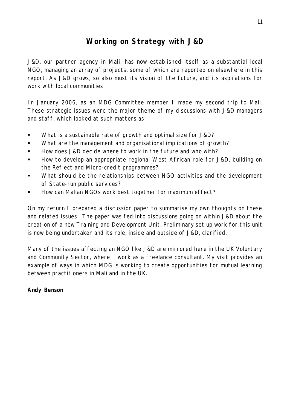# **Working on Strategy with J&D**

J&D, our partner agency in Mali, has now established itself as a substantial local NGO, managing an array of projects, some of which are reported on elsewhere in this report. As J&D grows, so also must its vision of the future, and its aspirations for work with local communities.

In January 2006, as an MDG Committee member I made my second trip to Mali. These strategic issues were the major theme of my discussions with J&D managers and staff, which looked at such matters as:

- **What is a sustainable rate of growth and optimal size for J&D?**
- **What are the management and organisational implications of growth?**
- **How does J&D decide where to work in the future and who with?**
- ß How to develop an appropriate regional West African role for J&D, building on the Reflect and Micro-credit programmes?
- What should be the relationships between NGO activities and the development of State-run public services?
- ß How can Malian NGOs work best together for maximum effect?

On my return I prepared a discussion paper to summarise my own thoughts on these and related issues. The paper was fed into discussions going on within J&D about the creation of a new Training and Development Unit. Preliminary set up work for this unit is now being undertaken and its role, inside and outside of J&D, clarified.

Many of the issues affecting an NGO like J&D are mirrored here in the UK Voluntary and Community Sector, where I work as a freelance consultant. My visit provides an example of ways in which MDG is working to create opportunities for mutual learning between practitioners in Mali and in the UK.

## **Andy Benson**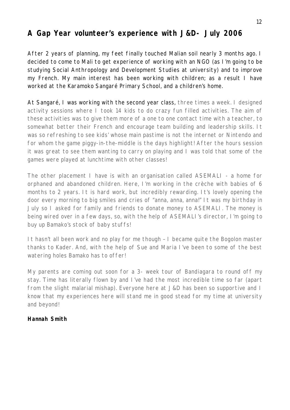# **A Gap Year volunteer's experience with J&D- July 2006**

After 2 years of planning, my feet finally touched Malian soil nearly 3 months ago. I decided to come to Mali to get experience of working with an NGO (as I'm going to be studying Social Anthropology and Development Studies at university) and to improve my French. My main interest has been working with children; as a result I have worked at the Karamoko Sangaré Primary School, and a children's home.

At Sangaré, I was working with the second year class, three times a week. I designed activity sessions where I took 14 kids to do crazy fun filled activities. The aim of these activities was to give them more of a one to one contact time with a teacher, to somewhat better their French and encourage team building and leadership skills. It was so refreshing to see kids' whose main pastime is not the internet or Nintendo and for whom the game piggy-in-the-middle is the days highlight! After the hours session it was great to see them wanting to carry on playing and I was told that some of the games were played at lunchtime with other classes!

The other placement I have is with an organisation called ASEMALI - a home for orphaned and abandoned children. Here, I'm working in the crèche with babies of 6 months to 2 years. It is hard work, but incredibly rewarding. It's lovely opening the door every morning to big smiles and cries of "anna, anna, anna!" It was my birthday in July so I asked for family and friends to donate money to ASEMALI. The money is being wired over in a few days, so, with the help of ASEMALI's director, I'm going to buy up Bamako's stock of baby stuffs!

It hasn't all been work and no play for me though – I became quite the Bogolon master thanks to Kader. And, with the help of Sue and Maria I've been to some of the best watering holes Bamako has to offer!

My parents are coming out soon for a 3- week tour of Bandiagara to round off my stay. Time has literally flown by and I've had the most incredible time so far (apart from the slight malarial mishap). Everyone here at J&D has been so supportive and I know that my experiences here will stand me in good stead for my time at university and beyond!

## **Hannah Smith**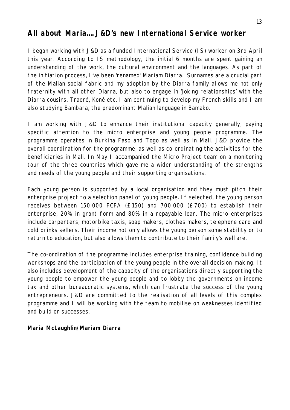# **All about Maria….J&D's new International Service worker**

I began working with J&D as a funded International Service (IS) worker on 3rd April this year. According to IS methodology, the initial 6 months are spent gaining an understanding of the work, the cultural environment and the languages. As part of the initiation process, I've been 'renamed' Mariam Diarra. Surnames are a crucial part of the Malian social fabric and my adoption by the Diarra family allows me not only fraternity with all other Diarra, but also to engage in 'joking relationships' with the Diarra cousins, Traoré, Koné etc. I am continuing to develop my French skills and I am also studying Bambara, the predominant Malian language in Bamako.

I am working with J&D to enhance their institutional capacity generally, paying specific attention to the micro enterprise and young people programme. The programme operates in Burkina Faso and Togo as well as in Mali. J&D provide the overall coordination for the programme, as well as co-ordinating the activities for the beneficiaries in Mali. In May I accompanied the Micro Project team on a monitoring tour of the three countries which gave me a wider understanding of the strengths and needs of the young people and their supporting organisations.

Each young person is supported by a local organisation and they must pitch their enterprise project to a selection panel of young people. If selected, the young person receives between 150 000 FCFA (£150) and 700 000 (£700) to establish their enterprise, 20% in grant form and 80% in a repayable loan. The micro enterprises include carpenters, motorbike taxis, soap makers, clothes makers, telephone card and cold drinks sellers. Their income not only allows the young person some stability or to return to education, but also allows them to contribute to their family's welfare.

The co-ordination of the programme includes enterprise training, confidence building workshops and the participation of the young people in the overall decision-making. It also includes development of the capacity of the organisations directly supporting the young people to empower the young people and to lobby the governments on income tax and other bureaucratic systems, which can frustrate the success of the young entrepreneurs. J&D are committed to the realisation of all levels of this complex programme and I will be working with the team to mobilise on weaknesses identified and build on successes.

## **Maria McLaughlin/Mariam Diarra**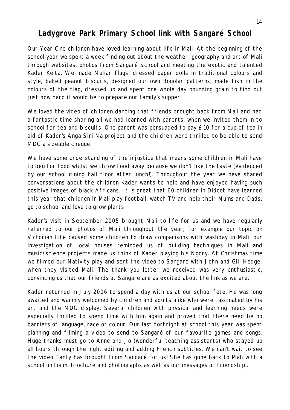# **Ladygrove Park Primary School link with Sangaré School**

Our Year One children have loved learning about life in Mali. At the beginning of the school year we spent a week finding out about the weather, geography and art of Mali through websites, photos from Sangaré School and meeting the exotic and talented Kader Keita. We made Malian flags, dressed paper dolls in traditional colours and style, baked peanut biscuits, designed our own Bogolan patterns, made fish in the colours of the flag, dressed up and spent one whole day pounding grain to find out just how hard it would be to prepare our family's supper!

We loved the video of children dancing that friends brought back from Mali and had a fantastic time sharing all we had learned with parents, when we invited them in to school for tea and biscuits. One parent was persuaded to pay £10 for a cup of tea in aid of Kader's Anga Siri Na project and the children were thrilled to be able to send MDG a sizeable cheque.

We have some understanding of the injustice that means some children in Mali have to beg for food whilst we throw food away because we don't like the taste (evidenced by our school dining hall floor after lunch!). Throughout the year we have shared conversations about the children Kader wants to help and have enjoyed having such positive images of black Africans. It is great that 60 children in Didcot have learned this year that children in Mali play football, watch TV and help their Mums and Dads, go to school and love to grow plants.

Kader's visit in September 2005 brought Mali to life for us and we have regularly referred to our photos of Mali throughout the year; for example our topic on Victorian Life caused some children to draw comparisons with washday in Mali, our investigation of local houses reminded us of building techniques in Mali and music/science projects made us think of Kader playing his Ngony. At Christmas time we filmed our Nativity play and sent the video to Sangaré with John and Gill Hedge, when they visited Mali. The thank you letter we received was very enthusiastic, convincing us that our friends at Sangare are as excited about the link as we are.

Kader returned in July 2006 to spend a day with us at our school fete. He was long awaited and warmly welcomed by children and adults alike who were fascinated by his art and the MDG display. Several children with physical and learning needs were especially thrilled to spend time with him again and proved that there need be no barriers of language, race or colour. Our last fortnight at school this year was spent planning and filming a video to send to Sangaré of our favourite games and songs. Huge thanks must go to Anne and Jo (wonderful teaching assistants) who stayed up all hours through the night editing and adding French subtitles. We can't wait to see the video Tanty has brought from Sangaré for us! She has gone back to Mali with a school uniform, brochure and photographs as well as our messages of friendship..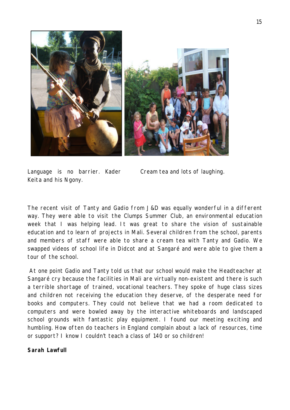

Language is no barrier. Kader Cream tea and lots of laughing. Keita and his Ngony.

The recent visit of Tanty and Gadio from J&D was equally wonderful in a different way. They were able to visit the Clumps Summer Club, an environmental education week that I was helping lead. It was great to share the vision of sustainable education and to learn of projects in Mali. Several children from the school, parents and members of staff were able to share a cream tea with Tanty and Gadio. We swapped videos of school life in Didcot and at Sangaré and were able to give them a tour of the school.

 At one point Gadio and Tanty told us that our school would make the Headteacher at Sangaré cry because the facilities in Mali are virtually non-existent and there is such a terrible shortage of trained, vocational teachers. They spoke of huge class sizes and children not receiving the education they deserve, of the desperate need for books and computers. They could not believe that we had a room dedicated to computers and were bowled away by the interactive whiteboards and landscaped school grounds with fantastic play equipment. I found our meeting exciting and humbling. How often do teachers in England complain about a lack of resources, time or support? I know I couldn't teach a class of 140 or so children!

### **Sarah Lawfull**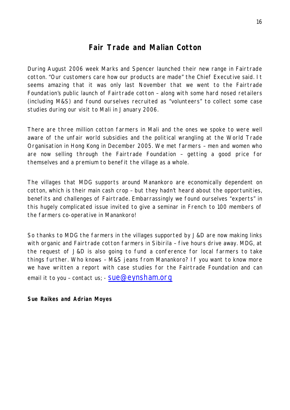# **Fair Trade and Malian Cotton**

During August 2006 week Marks and Spencer launched their new range in Fairtrade cotton. "Our customers care how our products are made" the Chief Executive said. It seems amazing that it was only last November that we went to the Fairtrade Foundation's public launch of Fairtrade cotton – along with some hard nosed retailers (including M&S) and found ourselves recruited as "volunteers" to collect some case studies during our visit to Mali in January 2006.

There are three million cotton farmers in Mali and the ones we spoke to were well aware of the unfair world subsidies and the political wrangling at the World Trade Organisation in Hong Kong in December 2005. We met farmers – men and women who are now selling through the Fairtrade Foundation – getting a good price for themselves and a premium to benefit the village as a whole.

The villages that MDG supports around Manankoro are economically dependent on cotton, which is their main cash crop – but they hadn't heard about the opportunities, benefits and challenges of Fairtrade. Embarrassingly we found ourselves "experts" in this hugely complicated issue invited to give a seminar in French to 100 members of the farmers co-operative in Manankoro!

So thanks to MDG the farmers in the villages supported by J&D are now making links with organic and Fairtrade cotton farmers in Sibirila - five hours drive away. MDG, at the request of J&D is also going to fund a conference for local farmers to take things further. Who knows – M&S jeans from Manankoro? If you want to know more we have written a report with case studies for the Fairtrade Foundation and can email it to you – contact us;  $-$  SUe@eynsham.org

**Sue Raikes and Adrian Moyes**